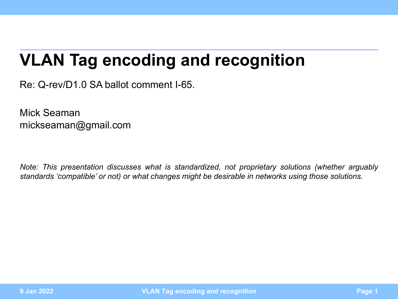## <span id="page-0-0"></span>**VLAN Tag encoding and recognition**

Re: Q-rev/D1.0 SA ballot comment I-65.

Mick Seaman mickseaman@gmail.com

*Note: This presentation discusses what is standardized, not proprietary solutions (whether arguably standards 'compatible' or not) or what changes might be desirable in networks using those solutions.*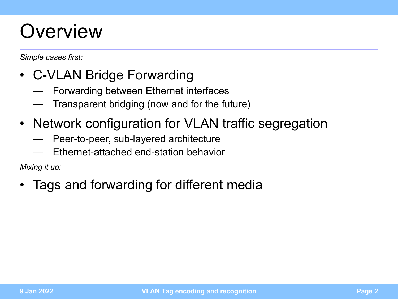## **Overview**

*Simple cases first:*

- C-VLAN Bridge Forwarding
	- Forwarding between Ethernet interfaces
	- Transparent bridging (now and for the future)
- Network configuration for VLAN traffic segregation
	- Peer-to-peer, sub-layered architecture
	- Ethernet-attached end-station behavior

*Mixing it up:*

• Tags and forwarding for different media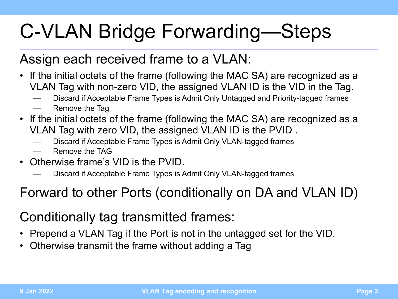# C-VLAN Bridge Forwarding—Steps

#### Assign each received frame to a VLAN:

- If the initial octets of the frame (following the MAC SA) are recognized as a VLAN Tag with non-zero VID, the assigned VLAN ID is the VID in the Tag.
	- Discard if Acceptable Frame Types is Admit Only Untagged and Priority-tagged frames
	- Remove the Tag
- If the initial octets of the frame (following the MAC SA) are recognized as a VLAN Tag with zero VID, the assigned VLAN ID is the PVID .
	- Discard if Acceptable Frame Types is Admit Only VLAN-tagged frames
	- Remove the TAG
- Otherwise frame's VID is the PVID.
	- Discard if Acceptable Frame Types is Admit Only VLAN-tagged frames

#### Forward to other Ports (conditionally on DA and VLAN ID)

#### Conditionally tag transmitted frames:

- Prepend a VLAN Tag if the Port is not in the untagged set for the VID.
- Otherwise transmit the frame without adding a Tag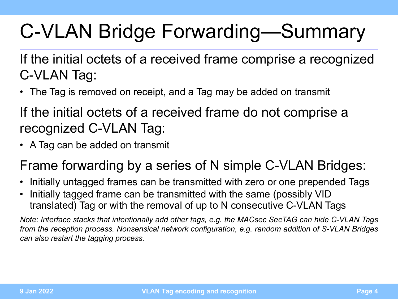# C-VLAN Bridge Forwarding—Summary

If the initial octets of a received frame comprise a recognized C-VLAN Tag:

• The Tag is removed on receipt, and a Tag may be added on transmit

If the initial octets of a received frame do not comprise a recognized C-VLAN Tag:

• A Tag can be added on transmit

#### Frame forwarding by a series of N simple C-VLAN Bridges:

- Initially untagged frames can be transmitted with zero or one prepended Tags
- Initially tagged frame can be transmitted with the same (possibly VID translated) Tag or with the removal of up to N consecutive C-VLAN Tags

*Note: Interface stacks that intentionally add other tags, e.g. the MACsec SecTAG can hide C-VLAN Tags from the reception process. Nonsensical network configuration, e.g. random addition of S-VLAN Bridges can also restart the tagging process.*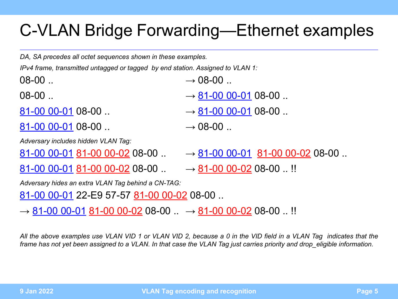### C-VLAN Bridge Forwarding—Ethernet examples

*DA, SA precedes all octet sequences shown in these examples.* 

*IPv4 frame, transmitted untagged or tagged by end station. Assigned to VLAN 1:*

 $08-00$  ...  $08-00$ 

 $81-00$  00-01 08-00 ..  $\longrightarrow 08-00$  ..

*Adversary includes hidden VLAN Tag:*

- 
- $08-00$  ..
- $81-00$  00-01 08-00 ..  $\longrightarrow 81-00$  00-01 08-00 ..
	-

 $81-00$  00-01 81-00 00-02 08-00  $\ldots \longrightarrow 81-00$  00-01 81-00 00-02 08-00  $\ldots$ 

 $81-00$  00-01 81-00 00-02 08-00  $\dots$   $\longrightarrow$  81-00 00-02 08-00  $\dots$ !!

*Adversary hides an extra VLAN Tag behind a CN-TAG:*

81-00 00-01 22-E9 57-57 81-00 00-02 08-00 ..

 $\rightarrow$  81-00 00-01 81-00 00-02 08-00  $\ldots \rightarrow$  81-00 00-02 08-00  $\ldots$  !!

*All the above examples use VLAN VID 1 or VLAN VID 2, because a 0 in the VID field in a VLAN Tag indicates that the frame has not yet been assigned to a VLAN. In that case the VLAN Tag just carries priority and drop\_eligible information.*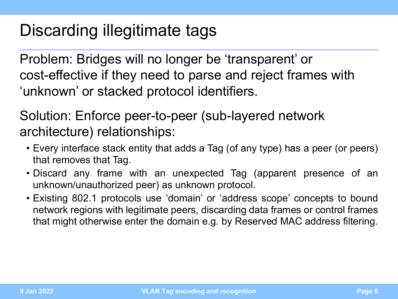## Discarding illegitimate tags

Problem: Bridges will no longer be 'transparent' or cost-effective if they need to parse and reject frames with 'unknown' or stacked protocol identifiers.

Solution: Enforce peer-to-peer (sub-layered network architecture) relationships:

- Every interface stack entity that adds a Tag (of any type) has a peer (or peers) that removes that Tag.
- Discard any frame with an unexpected Tag (apparent presence of an unknown/unauthorized peer) as unknown protocol.
- Existing 802.1 protocols use 'domain' or 'address scope' concepts to bound network regions with legitimate peers, discarding data frames or control frames that might otherwise enter the domain e.g. by Reserved MAC address filtering.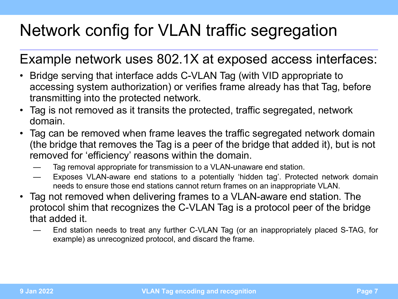## Network config for VLAN traffic segregation

#### Example network uses 802.1X at exposed access interfaces:

- Bridge serving that interface adds C-VLAN Tag (with VID appropriate to accessing system authorization) or verifies frame already has that Tag, before transmitting into the protected network.
- Tag is not removed as it transits the protected, traffic segregated, network domain.
- Tag can be removed when frame leaves the traffic segregated network domain (the bridge that removes the Tag is a peer of the bridge that added it), but is not removed for 'efficiency' reasons within the domain.
	- Tag removal appropriate for transmission to a VLAN-unaware end station.
	- Exposes VLAN-aware end stations to a potentially 'hidden tag'. Protected network domain needs to ensure those end stations cannot return frames on an inappropriate VLAN.
- Tag not removed when delivering frames to a VLAN-aware end station. The protocol shim that recognizes the C-VLAN Tag is a protocol peer of the bridge that added it.
	- End station needs to treat any further C-VLAN Tag (or an inappropriately placed S-TAG, for example) as unrecognized protocol, and discard the frame.